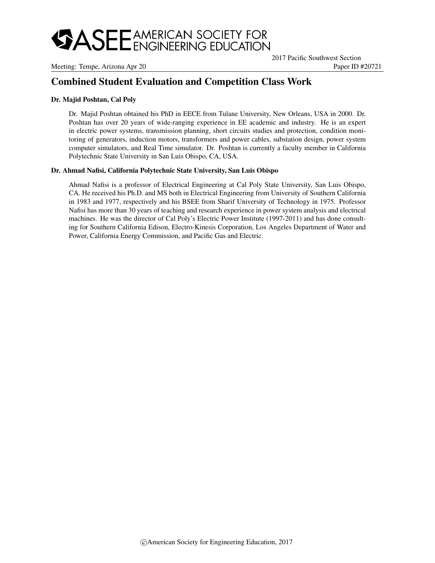

2017 Pacific Southwest Section Meeting: Tempe, Arizona Apr 20 Paper ID #20721

# Combined Student Evaluation and Competition Class Work

#### Dr. Majid Poshtan, Cal Poly

Dr. Majid Poshtan obtained his PhD in EECE from Tulane University, New Orleans, USA in 2000. Dr. Poshtan has over 20 years of wide-ranging experience in EE academic and industry. He is an expert in electric power systems, transmission planning, short circuits studies and protection, condition monitoring of generators, induction motors, transformers and power cables, substation design, power system computer simulators, and Real Time simulator. Dr. Poshtan is currently a faculty member in California Polytechnic State University in San Luis Obispo, CA, USA.

#### Dr. Ahmad Nafisi, California Polytechnic State University, San Luis Obispo

Ahmad Nafisi is a professor of Electrical Engineering at Cal Poly State University, San Luis Obispo, CA. He received his Ph.D. and MS both in Electrical Engineering from University of Southern California in 1983 and 1977, respectively and his BSEE from Sharif University of Technology in 1975. Professor Nafisi has more than 30 years of teaching and research experience in power system analysis and electrical machines. He was the director of Cal Poly's Electric Power Institute (1997-2011) and has done consulting for Southern California Edison, Electro-Kinesis Corporation, Los Angeles Department of Water and Power, California Energy Commission, and Pacific Gas and Electric.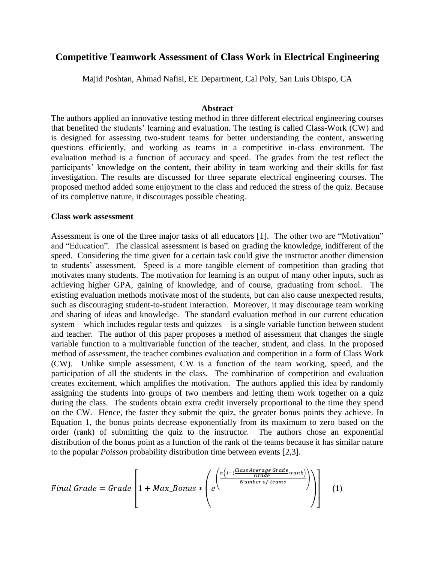# **Competitive Teamwork Assessment of Class Work in Electrical Engineering**

Majid Poshtan, Ahmad Nafisi, EE Department, Cal Poly, San Luis Obispo, CA

### **Abstract**

The authors applied an innovative testing method in three different electrical engineering courses that benefited the students' learning and evaluation. The testing is called Class-Work (CW) and is designed for assessing two-student teams for better understanding the content, answering questions efficiently, and working as teams in a competitive in-class environment. The evaluation method is a function of accuracy and speed. The grades from the test reflect the participants' knowledge on the content, their ability in team working and their skills for fast investigation. The results are discussed for three separate electrical engineering courses. The proposed method added some enjoyment to the class and reduced the stress of the quiz. Because of its completive nature, it discourages possible cheating.

### **Class work assessment**

Assessment is one of the three major tasks of all educators [1]. The other two are "Motivation" and "Education". The classical assessment is based on grading the knowledge, indifferent of the speed. Considering the time given for a certain task could give the instructor another dimension to students' assessment. Speed is a more tangible element of competition than grading that motivates many students. The motivation for learning is an output of many other inputs, such as achieving higher GPA, gaining of knowledge, and of course, graduating from school. The existing evaluation methods motivate most of the students, but can also cause unexpected results, such as discouraging student-to-student interaction. Moreover, it may discourage team working and sharing of ideas and knowledge. The standard evaluation method in our current education system – which includes regular tests and quizzes – is a single variable function between student and teacher. The author of this paper proposes a method of assessment that changes the single variable function to a multivariable function of the teacher, student, and class. In the proposed method of assessment, the teacher combines evaluation and competition in a form of Class Work (CW). Unlike simple assessment, CW is a function of the team working, speed, and the participation of all the students in the class. The combination of competition and evaluation creates excitement, which amplifies the motivation. The authors applied this idea by randomly assigning the students into groups of two members and letting them work together on a quiz during the class. The students obtain extra credit inversely proportional to the time they spend on the CW. Hence, the faster they submit the quiz, the greater bonus points they achieve. In Equation 1, the bonus points decrease exponentially from its maximum to zero based on the order (rank) of submitting the quiz to the instructor. The authors chose an exponential distribution of the bonus point as a function of the rank of the teams because it has similar nature to the popular *Poisson* probability distribution time between events [2,3].

Final Grade = Grade 
$$
\left[1 + Max_{Bonus} * \left(e^{\frac{\pi \left(1 - \frac{(Class\ Average\ Grade}{Grade} + rank\right)}{Number\ of\ teams}})\right)\right]
$$
 (1)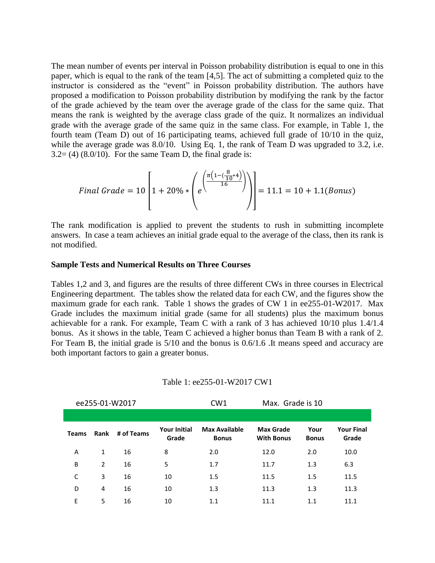The mean number of events per interval in Poisson probability distribution is equal to one in this paper, which is equal to the rank of the team [4,5]. The act of submitting a completed quiz to the instructor is considered as the "event" in Poisson probability distribution. The authors have proposed a modification to Poisson probability distribution by modifying the rank by the factor of the grade achieved by the team over the average grade of the class for the same quiz. That means the rank is weighted by the average class grade of the quiz. It normalizes an individual grade with the average grade of the same quiz in the same class. For example, in Table 1, the fourth team (Team D) out of 16 participating teams, achieved full grade of 10/10 in the quiz, while the average grade was 8.0/10. Using Eq. 1, the rank of Team D was upgraded to 3.2, i.e.  $3.2 = (4) (8.0/10)$ . For the same Team D, the final grade is:

$$
Final\,Grade = 10\left[1 + 20\% * \left(e^{\frac{\pi \left(1 - \left(\frac{8}{10} * 4\right)}{16}\right)}\right)\right] = 11.1 = 10 + 1.1(Bonus)
$$

The rank modification is applied to prevent the students to rush in submitting incomplete answers. In case a team achieves an initial grade equal to the average of the class, then its rank is not modified.

#### **Sample Tests and Numerical Results on Three Courses**

Tables 1,2 and 3, and figures are the results of three different CWs in three courses in Electrical Engineering department. The tables show the related data for each CW, and the figures show the maximum grade for each rank. Table 1 shows the grades of CW 1 in ee255-01-W2017. Max Grade includes the maximum initial grade (same for all students) plus the maximum bonus achievable for a rank. For example, Team C with a rank of 3 has achieved 10/10 plus 1.4/1.4 bonus. As it shows in the table, Team C achieved a higher bonus than Team B with a rank of 2. For Team B, the initial grade is 5/10 and the bonus is 0.6/1.6 .It means speed and accuracy are both important factors to gain a greater bonus.

| ee255-01-W2017 |                |            |                              | CW1                                  | Max. Grade is 10                      |                      |                            |
|----------------|----------------|------------|------------------------------|--------------------------------------|---------------------------------------|----------------------|----------------------------|
|                |                |            |                              |                                      |                                       |                      |                            |
| <b>Teams</b>   | Rank           | # of Teams | <b>Your Initial</b><br>Grade | <b>Max Available</b><br><b>Bonus</b> | <b>Max Grade</b><br><b>With Bonus</b> | Your<br><b>Bonus</b> | <b>Your Final</b><br>Grade |
| A              | 1              | 16         | 8                            | 2.0                                  | 12.0                                  | 2.0                  | 10.0                       |
| B              | $\overline{2}$ | 16         | 5                            | 1.7                                  | 11.7                                  | 1.3                  | 6.3                        |
| C              | 3              | 16         | 10                           | 1.5                                  | 11.5                                  | 1.5                  | 11.5                       |
| D              | $\overline{4}$ | 16         | 10                           | 1.3                                  | 11.3                                  | 1.3                  | 11.3                       |
| E              | 5              | 16         | 10                           | 1.1                                  | 11.1                                  | 1.1                  | 11.1                       |

#### Table 1: ee255-01-W2017 CW1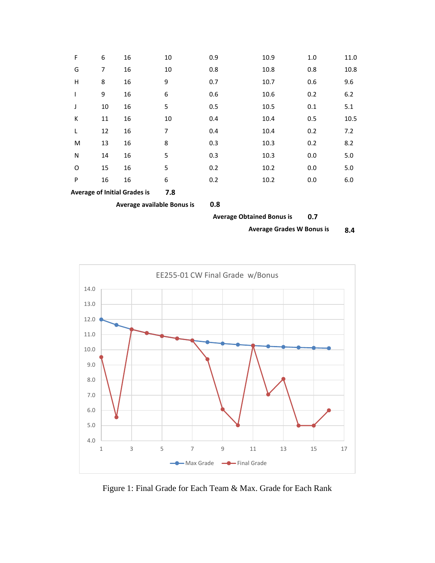| F                                   | 6  | 16  | 10 | 0.9 | 10.9 | 1.0 | 11.0  |
|-------------------------------------|----|-----|----|-----|------|-----|-------|
| G                                   | 7  | 16  | 10 | 0.8 | 10.8 | 0.8 | 10.8  |
| Н                                   | 8  | 16  | 9  | 0.7 | 10.7 | 0.6 | 9.6   |
| I                                   | 9  | 16  | 6  | 0.6 | 10.6 | 0.2 | $6.2$ |
| J                                   | 10 | 16  | 5  | 0.5 | 10.5 | 0.1 | 5.1   |
| К                                   | 11 | 16  | 10 | 0.4 | 10.4 | 0.5 | 10.5  |
| L                                   | 12 | 16  | 7  | 0.4 | 10.4 | 0.2 | 7.2   |
| M                                   | 13 | 16  | 8  | 0.3 | 10.3 | 0.2 | 8.2   |
| $\mathsf{N}$                        | 14 | 16  | 5  | 0.3 | 10.3 | 0.0 | 5.0   |
| $\circ$                             | 15 | 16  | 5  | 0.2 | 10.2 | 0.0 | 5.0   |
| P                                   | 16 | 16  | 6  | 0.2 | 10.2 | 0.0 | 6.0   |
| <b>Average of Initial Grades is</b> |    | 7.8 |    |     |      |     |       |

**Average available Bonus is 0.8**

**Average Obtained Bonus is 0.7**

**Average Grades W Bonus is 8.4**



Figure 1: Final Grade for Each Team & Max. Grade for Each Rank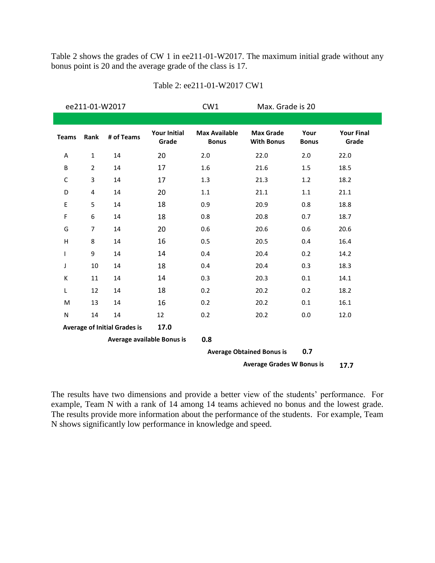Table 2 shows the grades of CW 1 in ee211-01-W2017. The maximum initial grade without any bonus point is 20 and the average grade of the class is 17.

|                                             |                | ee211-01-W2017 |                              | CW1                                  | Max. Grade is 20                      |                      |                            |
|---------------------------------------------|----------------|----------------|------------------------------|--------------------------------------|---------------------------------------|----------------------|----------------------------|
|                                             |                |                |                              |                                      |                                       |                      |                            |
| <b>Teams</b>                                | Rank           | # of Teams     | <b>Your Initial</b><br>Grade | <b>Max Available</b><br><b>Bonus</b> | <b>Max Grade</b><br><b>With Bonus</b> | Your<br><b>Bonus</b> | <b>Your Final</b><br>Grade |
| Α                                           | $\mathbf{1}$   | 14             | 20                           | 2.0                                  | 22.0                                  | 2.0                  | 22.0                       |
| B                                           | $\overline{2}$ | 14             | 17                           | 1.6                                  | 21.6                                  | 1.5                  | 18.5                       |
| C                                           | 3              | 14             | 17                           | 1.3                                  | 21.3                                  | 1.2                  | 18.2                       |
| D                                           | 4              | 14             | 20                           | 1.1                                  | 21.1                                  | 1.1                  | 21.1                       |
| E                                           | 5              | 14             | 18                           | 0.9                                  | 20.9                                  | 0.8                  | 18.8                       |
| F                                           | 6              | 14             | 18                           | 0.8                                  | 20.8                                  | 0.7                  | 18.7                       |
| G                                           | 7              | 14             | 20                           | 0.6                                  | 20.6                                  | 0.6                  | 20.6                       |
| $\mathsf{H}$                                | 8              | 14             | 16                           | 0.5                                  | 20.5                                  | 0.4                  | 16.4                       |
| L                                           | 9              | 14             | 14                           | 0.4                                  | 20.4                                  | 0.2                  | 14.2                       |
| J                                           | 10             | 14             | 18                           | 0.4                                  | 20.4                                  | 0.3                  | 18.3                       |
| K                                           | 11             | 14             | 14                           | 0.3                                  | 20.3                                  | 0.1                  | 14.1                       |
| L                                           | 12             | 14             | 18                           | 0.2                                  | 20.2                                  | 0.2                  | 18.2                       |
| M                                           | 13             | 14             | 16                           | 0.2                                  | 20.2                                  | 0.1                  | 16.1                       |
| N                                           | 14             | 14             | 12                           | 0.2                                  | 20.2                                  | 0.0                  | 12.0                       |
| <b>Average of Initial Grades is</b><br>17.0 |                |                |                              |                                      |                                       |                      |                            |
| Average available Bonus is                  |                |                | 0.8                          |                                      |                                       |                      |                            |
|                                             |                |                |                              | <b>Average Obtained Bonus is</b>     | 0.7                                   |                      |                            |
|                                             |                |                |                              |                                      | <b>Average Grades W Bonus is</b>      |                      | 17.7                       |

## Table 2: ee211-01-W2017 CW1

The results have two dimensions and provide a better view of the students' performance. For example, Team N with a rank of 14 among 14 teams achieved no bonus and the lowest grade. The results provide more information about the performance of the students. For example, Team N shows significantly low performance in knowledge and speed.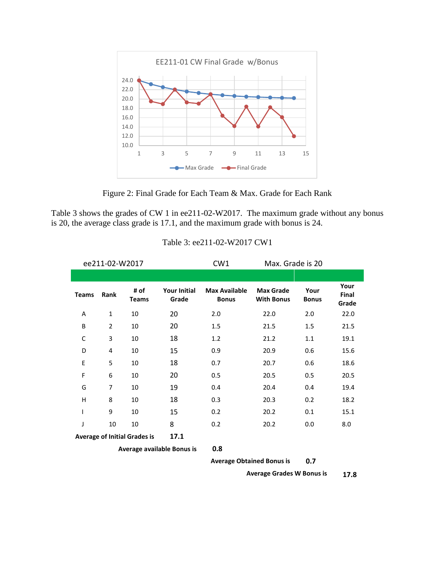

Figure 2: Final Grade for Each Team & Max. Grade for Each Rank

Table 3 shows the grades of CW 1 in ee211-02-W2017. The maximum grade without any bonus is 20, the average class grade is 17.1, and the maximum grade with bonus is 24.

| ee211-02-W2017                      |                |               |                              | CW <sub>1</sub>                      | Max. Grade is 20                      |                      |                        |
|-------------------------------------|----------------|---------------|------------------------------|--------------------------------------|---------------------------------------|----------------------|------------------------|
|                                     |                |               |                              |                                      |                                       |                      |                        |
| <b>Teams</b>                        | Rank           | # of<br>Teams | <b>Your Initial</b><br>Grade | <b>Max Available</b><br><b>Bonus</b> | <b>Max Grade</b><br><b>With Bonus</b> | Your<br><b>Bonus</b> | Your<br>Final<br>Grade |
| A                                   | $\mathbf{1}$   | 10            | 20                           | 2.0                                  | 22.0                                  | 2.0                  | 22.0                   |
| B                                   | $\overline{2}$ | 10            | 20                           | 1.5                                  | 21.5                                  | 1.5                  | 21.5                   |
| C                                   | 3              | 10            | 18                           | 1.2                                  | 21.2                                  | 1.1                  | 19.1                   |
| D                                   | 4              | 10            | 15                           | 0.9                                  | 20.9                                  | 0.6                  | 15.6                   |
| E                                   | 5              | 10            | 18                           | 0.7                                  | 20.7                                  | 0.6                  | 18.6                   |
| F                                   | 6              | 10            | 20                           | 0.5                                  | 20.5                                  | 0.5                  | 20.5                   |
| G                                   | 7              | 10            | 19                           | 0.4                                  | 20.4                                  | 0.4                  | 19.4                   |
| H                                   | 8              | 10            | 18                           | 0.3                                  | 20.3                                  | 0.2                  | 18.2                   |
| I                                   | 9              | 10            | 15                           | 0.2                                  | 20.2                                  | 0.1                  | 15.1                   |
| J                                   | 10             | 10            | 8                            | 0.2                                  | 20.2                                  | 0.0                  | 8.0                    |
| <b>Average of Initial Grades is</b> |                |               | 17.1                         |                                      |                                       |                      |                        |

## Table 3: ee211-02-W2017 CW1

**Average available Bonus is 0.8**

**Average Obtained Bonus is 0.7**

**Average Grades W Bonus is 17.8**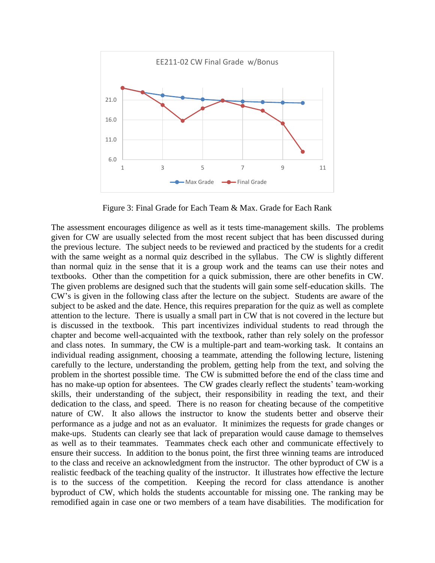

Figure 3: Final Grade for Each Team & Max. Grade for Each Rank

The assessment encourages diligence as well as it tests time-management skills. The problems given for CW are usually selected from the most recent subject that has been discussed during the previous lecture. The subject needs to be reviewed and practiced by the students for a credit with the same weight as a normal quiz described in the syllabus. The CW is slightly different than normal quiz in the sense that it is a group work and the teams can use their notes and textbooks. Other than the competition for a quick submission, there are other benefits in CW. The given problems are designed such that the students will gain some self-education skills. The CW's is given in the following class after the lecture on the subject. Students are aware of the subject to be asked and the date. Hence, this requires preparation for the quiz as well as complete attention to the lecture. There is usually a small part in CW that is not covered in the lecture but is discussed in the textbook. This part incentivizes individual students to read through the chapter and become well-acquainted with the textbook, rather than rely solely on the professor and class notes. In summary, the CW is a multiple-part and team-working task. It contains an individual reading assignment, choosing a teammate, attending the following lecture, listening carefully to the lecture, understanding the problem, getting help from the text, and solving the problem in the shortest possible time. The CW is submitted before the end of the class time and has no make-up option for absentees. The CW grades clearly reflect the students' team-working skills, their understanding of the subject, their responsibility in reading the text, and their dedication to the class, and speed. There is no reason for cheating because of the competitive nature of CW. It also allows the instructor to know the students better and observe their performance as a judge and not as an evaluator. It minimizes the requests for grade changes or make-ups. Students can clearly see that lack of preparation would cause damage to themselves as well as to their teammates. Teammates check each other and communicate effectively to ensure their success. In addition to the bonus point, the first three winning teams are introduced to the class and receive an acknowledgment from the instructor. The other byproduct of CW is a realistic feedback of the teaching quality of the instructor. It illustrates how effective the lecture is to the success of the competition. Keeping the record for class attendance is another byproduct of CW, which holds the students accountable for missing one. The ranking may be remodified again in case one or two members of a team have disabilities. The modification for